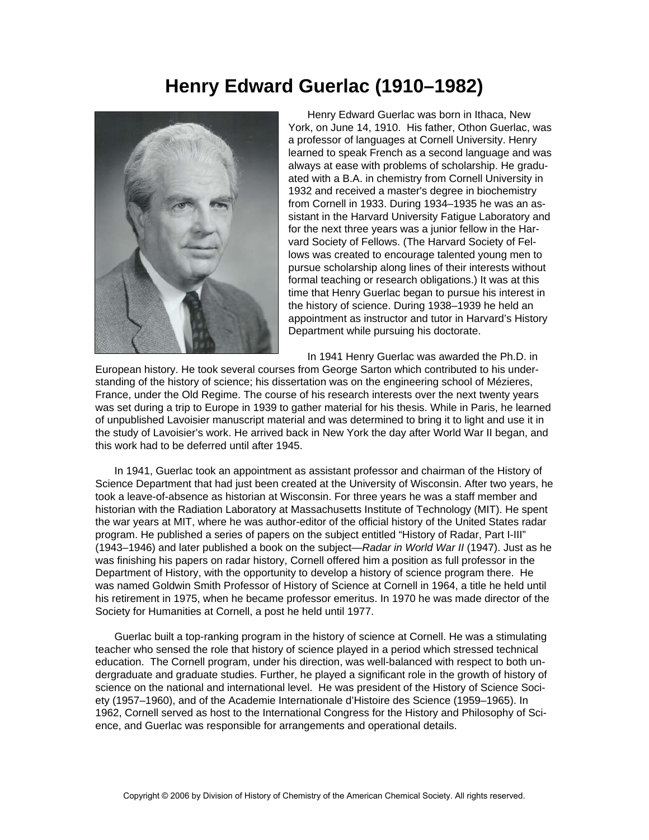## **Henry Edward Guerlac (1910–1982)**



 Henry Edward Guerlac was born in Ithaca, New York, on June 14, 1910. His father, Othon Guerlac, was a professor of languages at Cornell University. Henry learned to speak French as a second language and was always at ease with problems of scholarship. He graduated with a B.A. in chemistry from Cornell University in 1932 and received a master's degree in biochemistry from Cornell in 1933. During 1934–1935 he was an assistant in the Harvard University Fatigue Laboratory and for the next three years was a junior fellow in the Harvard Society of Fellows. (The Harvard Society of Fellows was created to encourage talented young men to pursue scholarship along lines of their interests without formal teaching or research obligations.) It was at this time that Henry Guerlac began to pursue his interest in the history of science. During 1938–1939 he held an appointment as instructor and tutor in Harvard's History Department while pursuing his doctorate.

In 1941 Henry Guerlac was awarded the Ph.D. in

European history. He took several courses from George Sarton which contributed to his understanding of the history of science; his dissertation was on the engineering school of Mézieres, France, under the Old Regime. The course of his research interests over the next twenty years was set during a trip to Europe in 1939 to gather material for his thesis. While in Paris, he learned of unpublished Lavoisier manuscript material and was determined to bring it to light and use it in the study of Lavoisier's work. He arrived back in New York the day after World War II began, and this work had to be deferred until after 1945.

 In 1941, Guerlac took an appointment as assistant professor and chairman of the History of Science Department that had just been created at the University of Wisconsin. After two years, he took a leave-of-absence as historian at Wisconsin. For three years he was a staff member and historian with the Radiation Laboratory at Massachusetts Institute of Technology (MIT). He spent the war years at MIT, where he was author-editor of the official history of the United States radar program. He published a series of papers on the subject entitled "History of Radar, Part I-III" (1943–1946) and later published a book on the subject—*Radar in World War II* (1947). Just as he was finishing his papers on radar history, Cornell offered him a position as full professor in the Department of History, with the opportunity to develop a history of science program there. He was named Goldwin Smith Professor of History of Science at Cornell in 1964, a title he held until his retirement in 1975, when he became professor emeritus. In 1970 he was made director of the Society for Humanities at Cornell, a post he held until 1977.

 Guerlac built a top-ranking program in the history of science at Cornell. He was a stimulating teacher who sensed the role that history of science played in a period which stressed technical education. The Cornell program, under his direction, was well-balanced with respect to both undergraduate and graduate studies. Further, he played a significant role in the growth of history of science on the national and international level. He was president of the History of Science Society (1957–1960), and of the Academie Internationale d'Histoire des Science (1959–1965). In 1962, Cornell served as host to the International Congress for the History and Philosophy of Science, and Guerlac was responsible for arrangements and operational details.